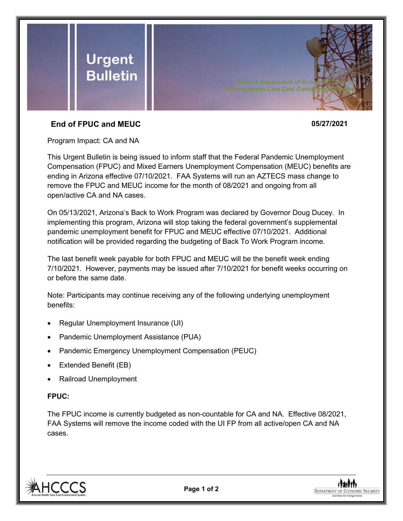

## **End of FPUC and MEUC 05/27/2021**

Program Impact: CA and NA

This Urgent Bulletin is being issued to inform staff that the Federal Pandemic Unemployment Compensation (FPUC) and Mixed Earners Unemployment Compensation (MEUC) benefits are ending in Arizona effective 07/10/2021. FAA Systems will run an AZTECS mass change to remove the FPUC and MEUC income for the month of 08/2021 and ongoing from all open/active CA and NA cases.

On 05/13/2021, Arizona's Back to Work Program was declared by Governor Doug Ducey. In implementing this program, Arizona will stop taking the federal government's supplemental pandemic unemployment benefit for FPUC and MEUC effective 07/10/2021. Additional notification will be provided regarding the budgeting of Back To Work Program income.

The last benefit week payable for both FPUC and MEUC will be the benefit week ending 7/10/2021. However, payments may be issued after 7/10/2021 for benefit weeks occurring on or before the same date.

Note: Participants may continue receiving any of the following underlying unemployment benefits:

- Regular Unemployment Insurance (UI)
- Pandemic Unemployment Assistance (PUA)
- Pandemic Emergency Unemployment Compensation (PEUC)
- Extended Benefit (EB)
- Railroad Unemployment

## **FPUC:**

The FPUC income is currently budgeted as non-countable for CA and NA. Effective 08/2021, FAA Systems will remove the income coded with the UI FP from all active/open CA and NA cases.